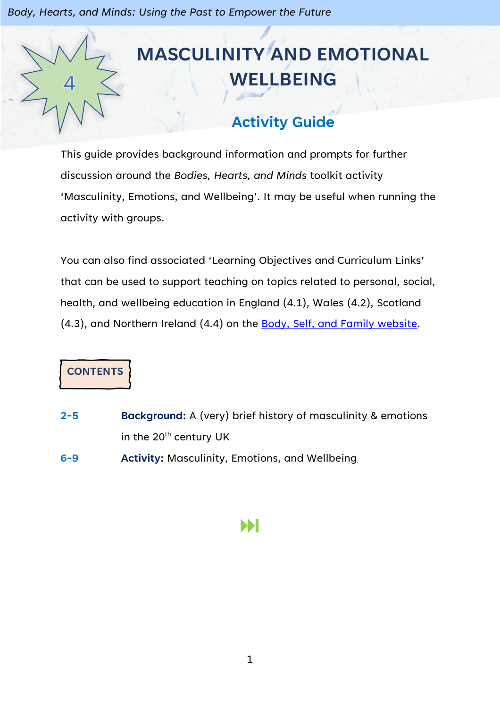# **MASCULINITY AND EMOTIONAL WELLBEING**

# **Activity Guide**

This guide provides background information and prompts for further discussion around the *Bodies, Hearts, and Minds* toolkit activity 'Masculinity, Emotions, and Wellbeing'. It may be useful when running the activity with groups.

You can also find associated 'Learning Objectives and Curriculum Links' that can be used to support teaching on topics related to personal, social, health, and wellbeing education in England (4.1), Wales (4.2), Scotland (4.3), and Northern Ireland (4.4) on the [Body, Self, and Family website.](https://bodyselffamily.org/)

**CONTENTS**

- **2-5 Background:** A (very) brief history of masculinity & emotions in the  $20<sup>th</sup>$  century UK
- **6-9 Activity:** Masculinity, Emotions, and Wellbeing

# Ы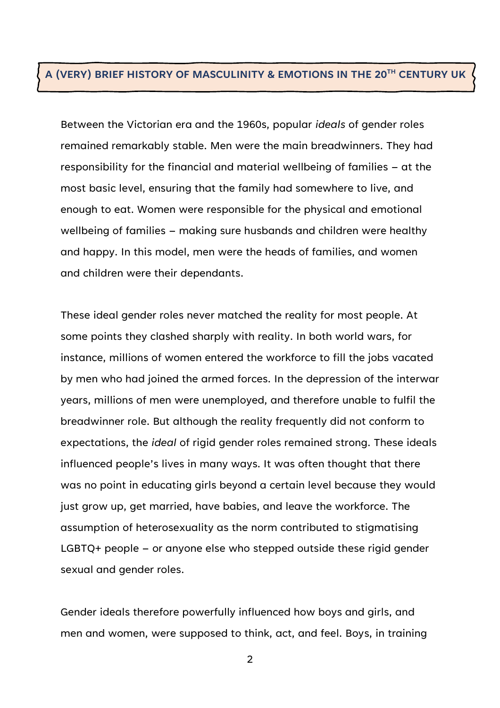#### **A (VERY) BRIEF HISTORY OF MASCULINITY & EMOTIONS IN THE 20TH CENTURY UK**

Between the Victorian era and the 1960s, popular *ideals* of gender roles remained remarkably stable. Men were the main breadwinners. They had responsibility for the financial and material wellbeing of families – at the most basic level, ensuring that the family had somewhere to live, and enough to eat. Women were responsible for the physical and emotional wellbeing of families – making sure husbands and children were healthy and happy. In this model, men were the heads of families, and women and children were their dependants.

These ideal gender roles never matched the reality for most people. At some points they clashed sharply with reality. In both world wars, for instance, millions of women entered the workforce to fill the jobs vacated by men who had joined the armed forces. In the depression of the interwar years, millions of men were unemployed, and therefore unable to fulfil the breadwinner role. But although the reality frequently did not conform to expectations, the *ideal* of rigid gender roles remained strong. These ideals influenced people's lives in many ways. It was often thought that there was no point in educating girls beyond a certain level because they would just grow up, get married, have babies, and leave the workforce. The assumption of heterosexuality as the norm contributed to stigmatising LGBTQ+ people – or anyone else who stepped outside these rigid gender sexual and gender roles.

Gender ideals therefore powerfully influenced how boys and girls, and men and women, were supposed to think, act, and feel. Boys, in training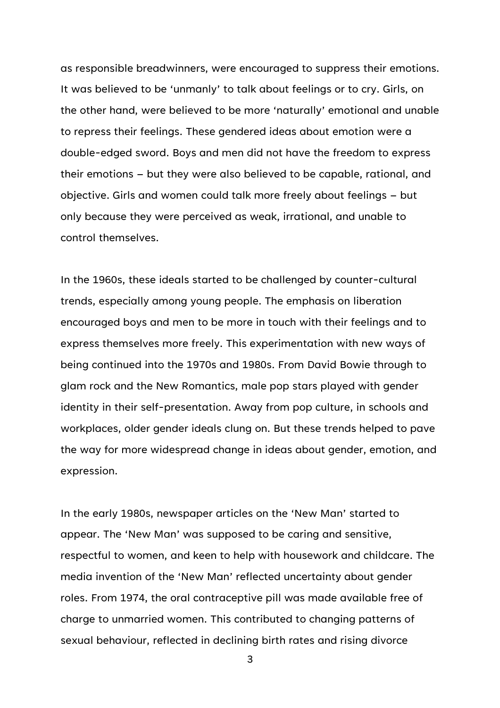as responsible breadwinners, were encouraged to suppress their emotions. It was believed to be 'unmanly' to talk about feelings or to cry. Girls, on the other hand, were believed to be more 'naturally' emotional and unable to repress their feelings. These gendered ideas about emotion were a double-edged sword. Boys and men did not have the freedom to express their emotions – but they were also believed to be capable, rational, and objective. Girls and women could talk more freely about feelings – but only because they were perceived as weak, irrational, and unable to control themselves.

In the 1960s, these ideals started to be challenged by counter-cultural trends, especially among young people. The emphasis on liberation encouraged boys and men to be more in touch with their feelings and to express themselves more freely. This experimentation with new ways of being continued into the 1970s and 1980s. From David Bowie through to glam rock and the New Romantics, male pop stars played with gender identity in their self-presentation. Away from pop culture, in schools and workplaces, older gender ideals clung on. But these trends helped to pave the way for more widespread change in ideas about gender, emotion, and expression.

In the early 1980s, newspaper articles on the 'New Man' started to appear. The 'New Man' was supposed to be caring and sensitive, respectful to women, and keen to help with housework and childcare. The media invention of the 'New Man' reflected uncertainty about gender roles. From 1974, the oral contraceptive pill was made available free of charge to unmarried women. This contributed to changing patterns of sexual behaviour, reflected in declining birth rates and rising divorce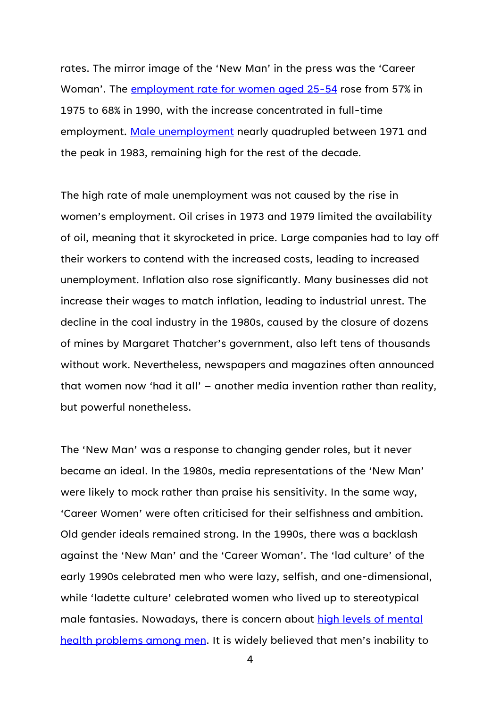rates. The mirror image of the 'New Man' in the press was the 'Career Woman'. The [employment rate for women aged 25-54](https://ifs.org.uk/uploads/BN234.pdf) rose from 57% in 1975 to 68% in 1990, with the increase concentrated in full-time employment. [Male unemployment](https://www.ons.gov.uk/employmentandlabourmarket/peoplenotinwork/unemployment/timeseries/mgsy/lms) nearly quadrupled between 1971 and the peak in 1983, remaining high for the rest of the decade.

The high rate of male unemployment was not caused by the rise in women's employment. Oil crises in 1973 and 1979 limited the availability of oil, meaning that it skyrocketed in price. Large companies had to lay off their workers to contend with the increased costs, leading to increased unemployment. Inflation also rose significantly. Many businesses did not increase their wages to match inflation, leading to industrial unrest. The decline in the coal industry in the 1980s, caused by the closure of dozens of mines by Margaret Thatcher's government, also left tens of thousands without work. Nevertheless, newspapers and magazines often announced that women now 'had it all' – another media invention rather than reality, but powerful nonetheless.

The 'New Man' was a response to changing gender roles, but it never became an ideal. In the 1980s, media representations of the 'New Man' were likely to mock rather than praise his sensitivity. In the same way, 'Career Women' were often criticised for their selfishness and ambition. Old gender ideals remained strong. In the 1990s, there was a backlash against the 'New Man' and the 'Career Woman'. The 'lad culture' of the early 1990s celebrated men who were lazy, selfish, and one-dimensional, while 'ladette culture' celebrated women who lived up to stereotypical male fantasies. Nowadays, there is concern about high levels of mental [health problems among men](https://www.mentalhealth.org.uk/a-to-z/m/men-and-mental-health). It is widely believed that men's inability to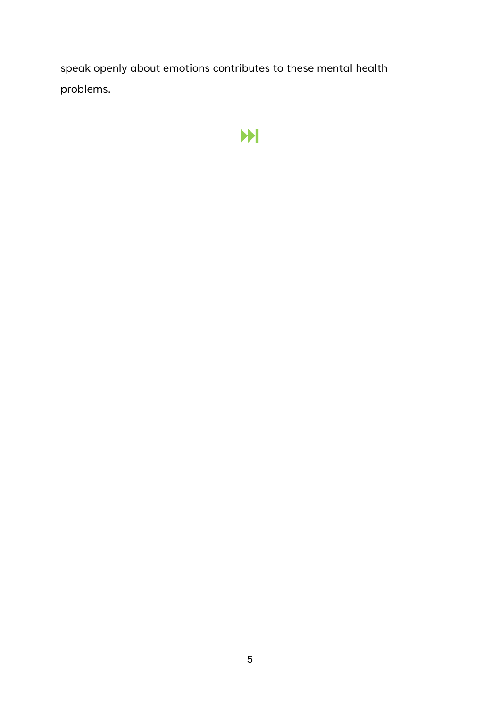speak openly about emotions contributes to these mental health problems.

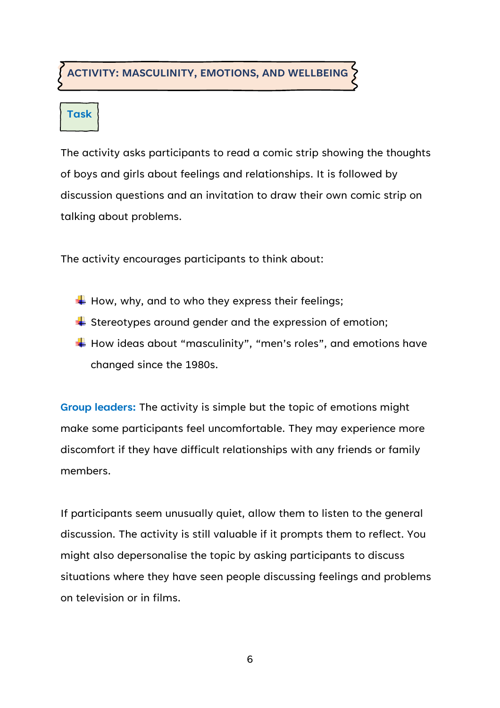### **ACTIVITY: MASCULINITY, EMOTIONS, AND WELLBEING**

## **Task**

The activity asks participants to read a comic strip showing the thoughts of boys and girls about feelings and relationships. It is followed by discussion questions and an invitation to draw their own comic strip on talking about problems.

The activity encourages participants to think about:

- $\overline{\textbf{H}}$  How, why, and to who they express their feelings;
- $\div$  Stereotypes around gender and the expression of emotion;
- $\overline{\textbf{H}}$  How ideas about "masculinity", "men's roles", and emotions have changed since the 1980s.

**Group leaders:** The activity is simple but the topic of emotions might make some participants feel uncomfortable. They may experience more discomfort if they have difficult relationships with any friends or family members.

If participants seem unusually quiet, allow them to listen to the general discussion. The activity is still valuable if it prompts them to reflect. You might also depersonalise the topic by asking participants to discuss situations where they have seen people discussing feelings and problems on television or in films.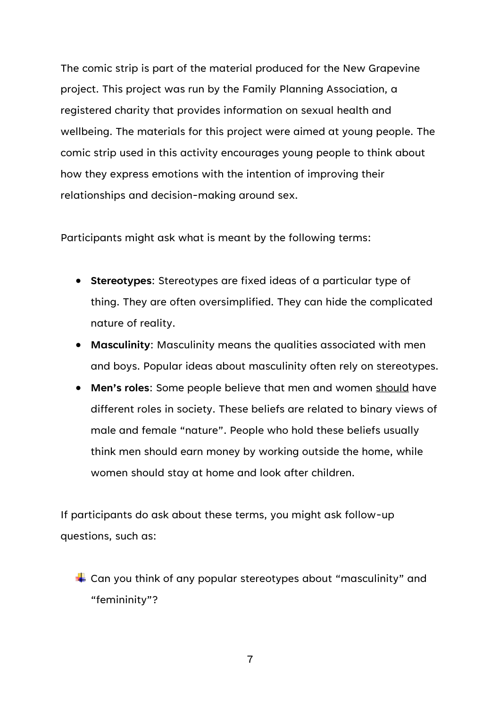The comic strip is part of the material produced for the New Grapevine project. This project was run by the Family Planning Association, a registered charity that provides information on sexual health and wellbeing. The materials for this project were aimed at young people. The comic strip used in this activity encourages young people to think about how they express emotions with the intention of improving their relationships and decision-making around sex.

Participants might ask what is meant by the following terms:

- **Stereotypes**: Stereotypes are fixed ideas of a particular type of thing. They are often oversimplified. They can hide the complicated nature of reality.
- **Masculinity**: Masculinity means the qualities associated with men and boys. Popular ideas about masculinity often rely on stereotypes.
- **Men's roles**: Some people believe that men and women should have different roles in society. These beliefs are related to binary views of male and female "nature". People who hold these beliefs usually think men should earn money by working outside the home, while women should stay at home and look after children.

If participants do ask about these terms, you might ask follow-up questions, such as:

 $\div$  Can you think of any popular stereotypes about "masculinity" and "femininity"?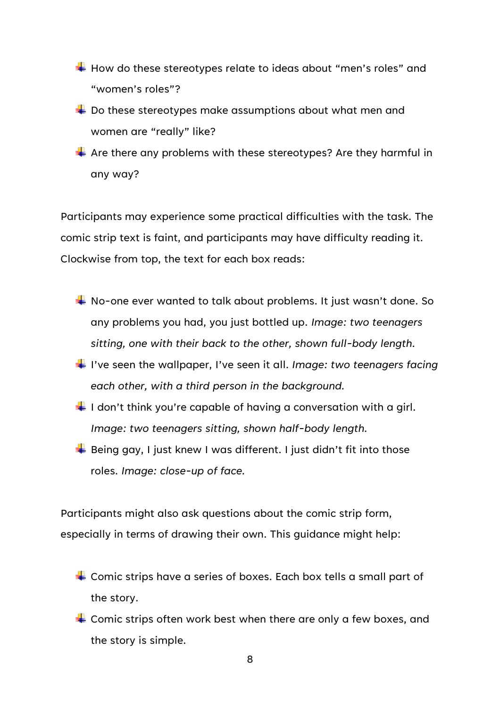- $\overline{\textbf{H}}$  How do these stereotypes relate to ideas about "men's roles" and "women's roles"?
- $\downarrow$  Do these stereotypes make assumptions about what men and women are "really" like?
- $\downarrow$  Are there any problems with these stereotypes? Are they harmful in any way?

Participants may experience some practical difficulties with the task. The comic strip text is faint, and participants may have difficulty reading it. Clockwise from top, the text for each box reads:

- No-one ever wanted to talk about problems. It just wasn't done. So any problems you had, you just bottled up. *Image: two teenagers sitting, one with their back to the other, shown full-body length.*
- I've seen the wallpaper, I've seen it all. *Image: two teenagers facing each other, with a third person in the background.*
- $\downarrow$  I don't think you're capable of having a conversation with a girl. *Image: two teenagers sitting, shown half-body length.*
- $\overline{\textbf{B}}$  Being gay, I just knew I was different. I just didn't fit into those roles. *Image: close-up of face.*

Participants might also ask questions about the comic strip form, especially in terms of drawing their own. This guidance might help:

- $\overline{\phantom{a}}$  Comic strips have a series of boxes. Each box tells a small part of the story.
- $\div$  Comic strips often work best when there are only a few boxes, and the story is simple.